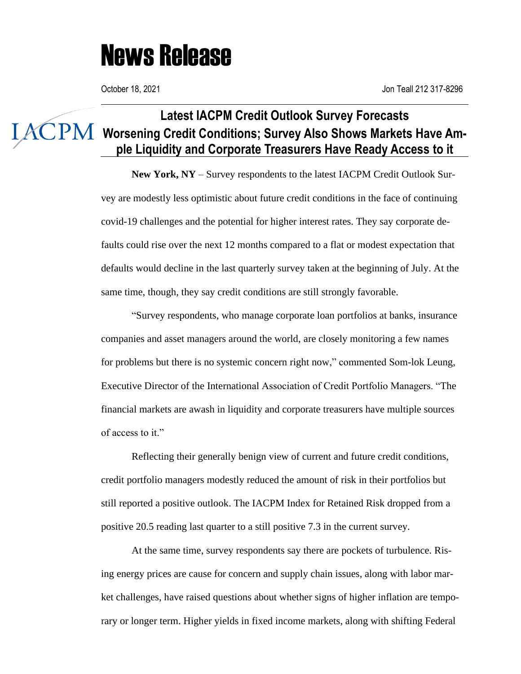## News Release

October 18, 2021 **Jon Teall 212 317-8296** 

## **Latest IACPM Credit Outlook Survey Forecasts IACPM** Worsening Credit Conditions; Survey Also Shows Markets Have Am**ple Liquidity and Corporate Treasurers Have Ready Access to it**

**New York, NY** – Survey respondents to the latest IACPM Credit Outlook Survey are modestly less optimistic about future credit conditions in the face of continuing covid-19 challenges and the potential for higher interest rates. They say corporate defaults could rise over the next 12 months compared to a flat or modest expectation that defaults would decline in the last quarterly survey taken at the beginning of July. At the same time, though, they say credit conditions are still strongly favorable.

"Survey respondents, who manage corporate loan portfolios at banks, insurance companies and asset managers around the world, are closely monitoring a few names for problems but there is no systemic concern right now," commented Som-lok Leung, Executive Director of the International Association of Credit Portfolio Managers. "The financial markets are awash in liquidity and corporate treasurers have multiple sources of access to it."

Reflecting their generally benign view of current and future credit conditions, credit portfolio managers modestly reduced the amount of risk in their portfolios but still reported a positive outlook. The IACPM Index for Retained Risk dropped from a positive 20.5 reading last quarter to a still positive 7.3 in the current survey.

At the same time, survey respondents say there are pockets of turbulence. Rising energy prices are cause for concern and supply chain issues, along with labor market challenges, have raised questions about whether signs of higher inflation are temporary or longer term. Higher yields in fixed income markets, along with shifting Federal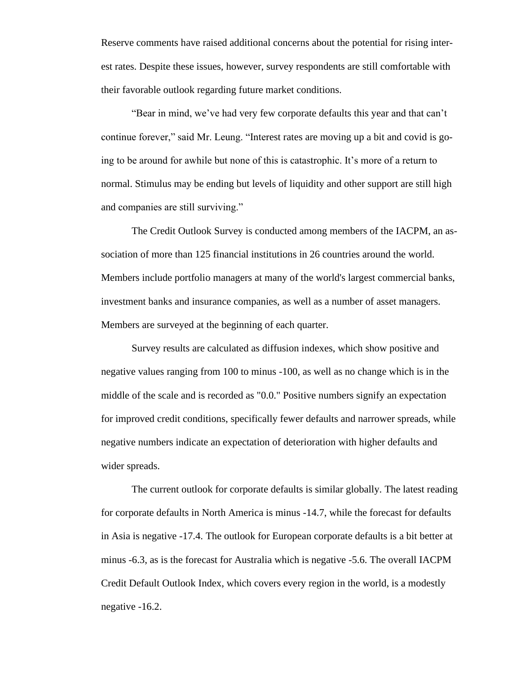Reserve comments have raised additional concerns about the potential for rising interest rates. Despite these issues, however, survey respondents are still comfortable with their favorable outlook regarding future market conditions.

"Bear in mind, we've had very few corporate defaults this year and that can't continue forever," said Mr. Leung. "Interest rates are moving up a bit and covid is going to be around for awhile but none of this is catastrophic. It's more of a return to normal. Stimulus may be ending but levels of liquidity and other support are still high and companies are still surviving."

The Credit Outlook Survey is conducted among members of the IACPM, an association of more than 125 financial institutions in 26 countries around the world. Members include portfolio managers at many of the world's largest commercial banks, investment banks and insurance companies, as well as a number of asset managers. Members are surveyed at the beginning of each quarter.

Survey results are calculated as diffusion indexes, which show positive and negative values ranging from 100 to minus -100, as well as no change which is in the middle of the scale and is recorded as "0.0." Positive numbers signify an expectation for improved credit conditions, specifically fewer defaults and narrower spreads, while negative numbers indicate an expectation of deterioration with higher defaults and wider spreads.

The current outlook for corporate defaults is similar globally. The latest reading for corporate defaults in North America is minus -14.7, while the forecast for defaults in Asia is negative -17.4. The outlook for European corporate defaults is a bit better at minus -6.3, as is the forecast for Australia which is negative -5.6. The overall IACPM Credit Default Outlook Index, which covers every region in the world, is a modestly negative -16.2.